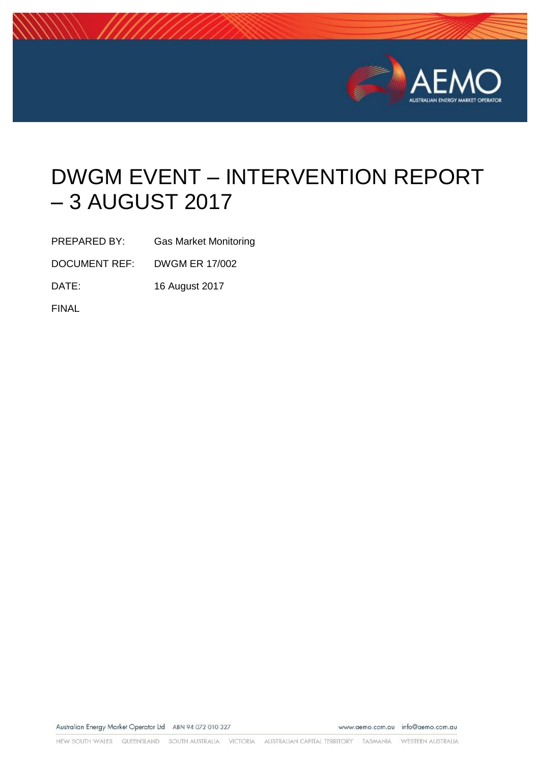

# DWGM EVENT – INTERVENTION REPORT – 3 AUGUST 2017

PREPARED BY: Gas Market Monitoring

DOCUMENT REF: DWGM ER 17/002

DATE: 16 August 2017

FINAL

Australian Energy Market Operator Ltd ABN 94 072 010 327

www.aemo.com.au info@aemo.com.au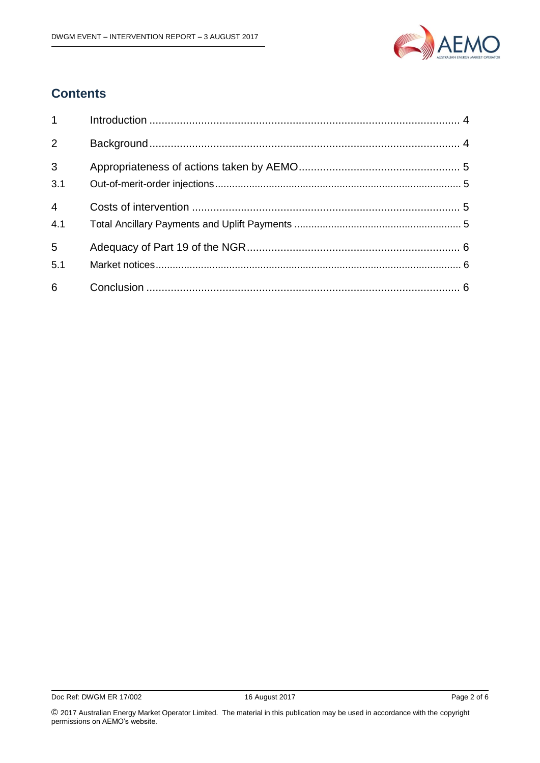

#### **Contents**

| $1 \quad \blacksquare$ |  |
|------------------------|--|
| 2                      |  |
| $\overline{3}$<br>3.1  |  |
| $\overline{4}$<br>4.1  |  |
| $5\phantom{.}$<br>5.1  |  |
| 6                      |  |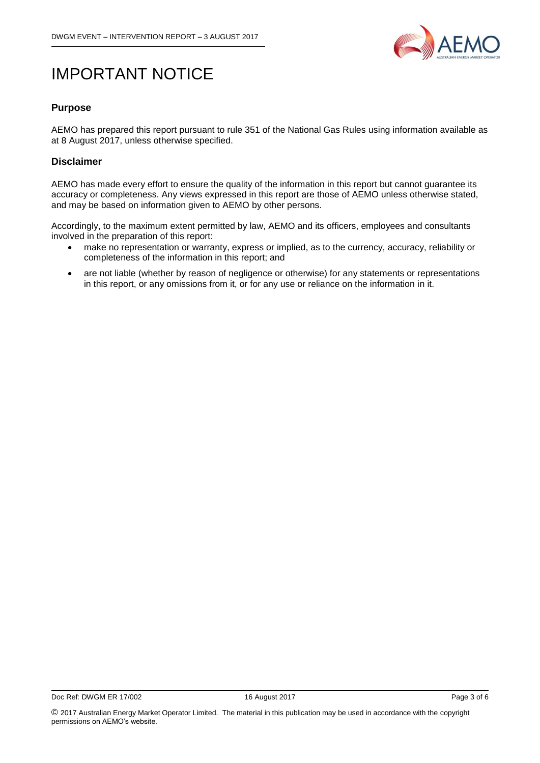

## IMPORTANT NOTICE

#### **Purpose**

AEMO has prepared this report pursuant to rule 351 of the National Gas Rules using information available as at 8 August 2017, unless otherwise specified.

#### **Disclaimer**

AEMO has made every effort to ensure the quality of the information in this report but cannot guarantee its accuracy or completeness. Any views expressed in this report are those of AEMO unless otherwise stated, and may be based on information given to AEMO by other persons.

Accordingly, to the maximum extent permitted by law, AEMO and its officers, employees and consultants involved in the preparation of this report:

- make no representation or warranty, express or implied, as to the currency, accuracy, reliability or completeness of the information in this report; and
- are not liable (whether by reason of negligence or otherwise) for any statements or representations in this report, or any omissions from it, or for any use or reliance on the information in it.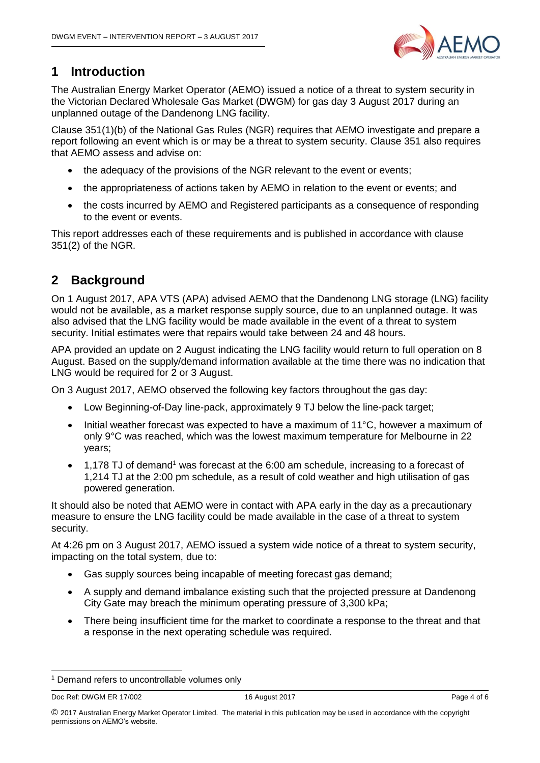

#### <span id="page-3-0"></span>**1 Introduction**

The Australian Energy Market Operator (AEMO) issued a notice of a threat to system security in the Victorian Declared Wholesale Gas Market (DWGM) for gas day 3 August 2017 during an unplanned outage of the Dandenong LNG facility.

Clause 351(1)(b) of the National Gas Rules (NGR) requires that AEMO investigate and prepare a report following an event which is or may be a threat to system security. Clause 351 also requires that AEMO assess and advise on:

- the adequacy of the provisions of the NGR relevant to the event or events;
- the appropriateness of actions taken by AEMO in relation to the event or events; and
- the costs incurred by AEMO and Registered participants as a consequence of responding to the event or events.

This report addresses each of these requirements and is published in accordance with clause 351(2) of the NGR.

## <span id="page-3-1"></span>**2 Background**

On 1 August 2017, APA VTS (APA) advised AEMO that the Dandenong LNG storage (LNG) facility would not be available, as a market response supply source, due to an unplanned outage. It was also advised that the LNG facility would be made available in the event of a threat to system security. Initial estimates were that repairs would take between 24 and 48 hours.

APA provided an update on 2 August indicating the LNG facility would return to full operation on 8 August. Based on the supply/demand information available at the time there was no indication that LNG would be required for 2 or 3 August.

On 3 August 2017, AEMO observed the following key factors throughout the gas day:

- Low Beginning-of-Day line-pack, approximately 9 TJ below the line-pack target;
- $\bullet$  Initial weather forecast was expected to have a maximum of 11 $\degree$ C, however a maximum of only 9°C was reached, which was the lowest maximum temperature for Melbourne in 22 years;
- $\bullet$  1,178 TJ of demand<sup>1</sup> was forecast at the 6:00 am schedule, increasing to a forecast of 1,214 TJ at the 2:00 pm schedule, as a result of cold weather and high utilisation of gas powered generation.

It should also be noted that AEMO were in contact with APA early in the day as a precautionary measure to ensure the LNG facility could be made available in the case of a threat to system security.

At 4:26 pm on 3 August 2017, AEMO issued a system wide notice of a threat to system security, impacting on the total system, due to:

- Gas supply sources being incapable of meeting forecast gas demand;
- A supply and demand imbalance existing such that the projected pressure at Dandenong City Gate may breach the minimum operating pressure of 3,300 kPa;
- There being insufficient time for the market to coordinate a response to the threat and that a response in the next operating schedule was required.

Doc Ref: DWGM ER 17/002 16 August 2017 16 August 2017

-

<sup>&</sup>lt;sup>1</sup> Demand refers to uncontrollable volumes only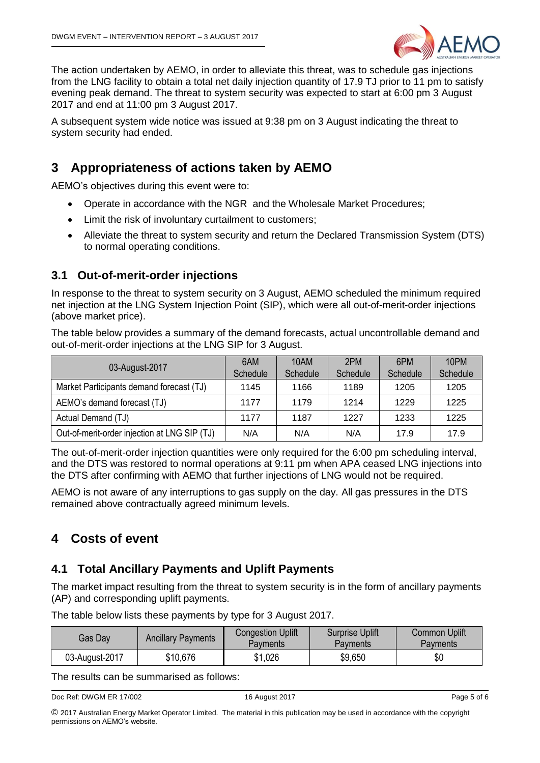

The action undertaken by AEMO, in order to alleviate this threat, was to schedule gas injections from the LNG facility to obtain a total net daily injection quantity of 17.9 TJ prior to 11 pm to satisfy evening peak demand. The threat to system security was expected to start at 6:00 pm 3 August 2017 and end at 11:00 pm 3 August 2017.

A subsequent system wide notice was issued at 9:38 pm on 3 August indicating the threat to system security had ended.

#### <span id="page-4-0"></span>**3 Appropriateness of actions taken by AEMO**

AEMO's objectives during this event were to:

- Operate in accordance with the NGR and the Wholesale Market Procedures;
- Limit the risk of involuntary curtailment to customers;
- Alleviate the threat to system security and return the Declared Transmission System (DTS) to normal operating conditions.

#### <span id="page-4-1"></span>**3.1 Out-of-merit-order injections**

In response to the threat to system security on 3 August, AEMO scheduled the minimum required net injection at the LNG System Injection Point (SIP), which were all out-of-merit-order injections (above market price).

The table below provides a summary of the demand forecasts, actual uncontrollable demand and out-of-merit-order injections at the LNG SIP for 3 August.

|                                              | 6AM      | 10AM     | 2PM      | 6PM      | 10PM     |
|----------------------------------------------|----------|----------|----------|----------|----------|
| 03-August-2017                               | Schedule | Schedule | Schedule | Schedule | Schedule |
| Market Participants demand forecast (TJ)     | 1145     | 1166     | 1189     | 1205     | 1205     |
| AEMO's demand forecast (TJ)                  | 1177     | 1179     | 1214     | 1229     | 1225     |
| Actual Demand (TJ)                           | 1177     | 1187     | 1227     | 1233     | 1225     |
| Out-of-merit-order injection at LNG SIP (TJ) | N/A      | N/A      | N/A      | 17.9     | 17.9     |

The out-of-merit-order injection quantities were only required for the 6:00 pm scheduling interval, and the DTS was restored to normal operations at 9:11 pm when APA ceased LNG injections into the DTS after confirming with AEMO that further injections of LNG would not be required.

AEMO is not aware of any interruptions to gas supply on the day. All gas pressures in the DTS remained above contractually agreed minimum levels.

#### <span id="page-4-2"></span>**4 Costs of event**

#### <span id="page-4-3"></span>**4.1 Total Ancillary Payments and Uplift Payments**

The market impact resulting from the threat to system security is in the form of ancillary payments (AP) and corresponding uplift payments.

The table below lists these payments by type for 3 August 2017.

| Gas Dav        | <b>Ancillary Payments</b> | <b>Congestion Uplift</b><br>Pavments | <b>Surprise Uplift</b><br>Payments | <b>Common Uplift</b><br><b>Payments</b> |
|----------------|---------------------------|--------------------------------------|------------------------------------|-----------------------------------------|
| 03-August-2017 | \$10,676                  | \$1,026                              | \$9,650                            | \$0                                     |

The results can be summarised as follows:

```
Doc Ref: DWGM ER 17/002 16 August 2017 16 August 2017
```